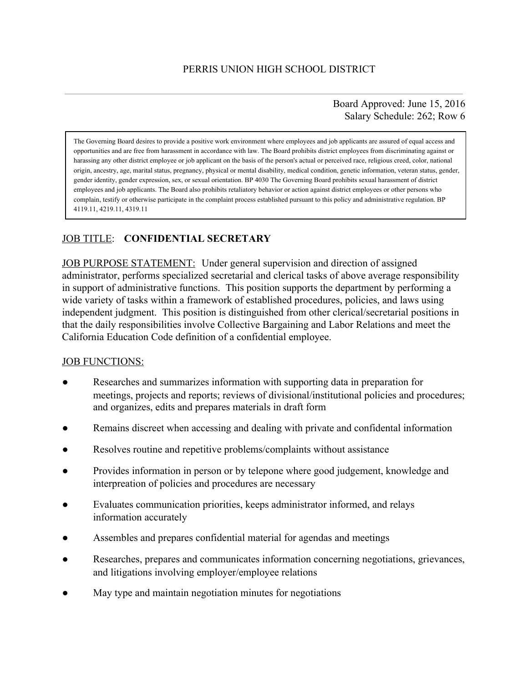Board Approved: June 15, 2016 Salary Schedule: 262; Row 6

The Governing Board desires to provide a positive work environment where employees and job applicants are assured of equal access and opportunities and are free from harassment in accordance with law. The Board prohibits district employees from discriminating against or harassing any other district employee or job applicant on the basis of the person's actual or perceived race, religious creed, color, national origin, ancestry, age, marital status, pregnancy, physical or mental disability, medical condition, genetic information, veteran status, gender, gender identity, gender expression, sex, or sexual orientation. BP 4030 The Governing Board prohibits sexual harassment of district employees and job applicants. The Board also prohibits retaliatory behavior or action against district employees or other persons who complain, testify or otherwise participate in the complaint process established pursuant to this policy and administrative regulation. BP 4119.11, 4219.11, 4319.11

# JOB TITLE: **CONFIDENTIAL SECRETARY**

JOB PURPOSE STATEMENT: Under general supervision and direction of assigned administrator, performs specialized secretarial and clerical tasks of above average responsibility in support of administrative functions. This position supports the department by performing a wide variety of tasks within a framework of established procedures, policies, and laws using independent judgment. This position is distinguished from other clerical/secretarial positions in that the daily responsibilities involve Collective Bargaining and Labor Relations and meet the California Education Code definition of a confidential employee.

#### JOB FUNCTIONS:

- Researches and summarizes information with supporting data in preparation for meetings, projects and reports; reviews of divisional/institutional policies and procedures; and organizes, edits and prepares materials in draft form
- Remains discreet when accessing and dealing with private and confidental information
- Resolves routine and repetitive problems/complaints without assistance
- Provides information in person or by telepone where good judgement, knowledge and interpreation of policies and procedures are necessary
- Evaluates communication priorities, keeps administrator informed, and relays information accurately
- Assembles and prepares confidential material for agendas and meetings
- Researches, prepares and communicates information concerning negotiations, grievances, and litigations involving employer/employee relations
- May type and maintain negotiation minutes for negotiations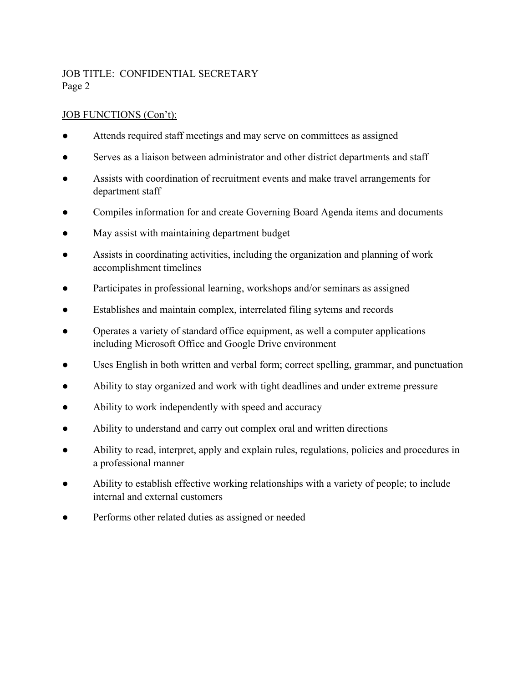# JOB TITLE: CONFIDENTIAL SECRETARY Page 2

### JOB FUNCTIONS (Con't):

- Attends required staff meetings and may serve on committees as assigned
- Serves as a liaison between administrator and other district departments and staff
- Assists with coordination of recruitment events and make travel arrangements for department staff
- Compiles information for and create Governing Board Agenda items and documents
- May assist with maintaining department budget
- Assists in coordinating activities, including the organization and planning of work accomplishment timelines
- Participates in professional learning, workshops and/or seminars as assigned
- Establishes and maintain complex, interrelated filing sytems and records
- Operates a variety of standard office equipment, as well a computer applications including Microsoft Office and Google Drive environment
- Uses English in both written and verbal form; correct spelling, grammar, and punctuation
- Ability to stay organized and work with tight deadlines and under extreme pressure
- Ability to work independently with speed and accuracy
- Ability to understand and carry out complex oral and written directions
- Ability to read, interpret, apply and explain rules, regulations, policies and procedures in a professional manner
- Ability to establish effective working relationships with a variety of people; to include internal and external customers
- Performs other related duties as assigned or needed